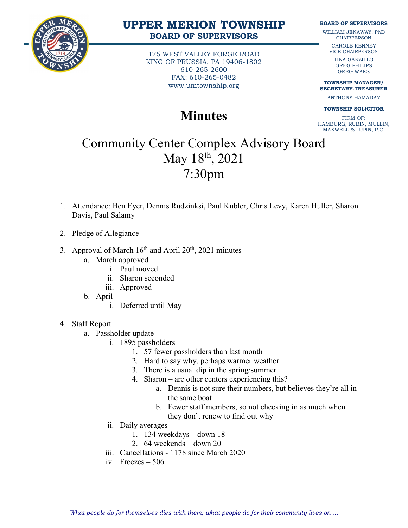

## **UPPER MERION TOWNSHIP BOARD OF SUPERVISORS**

175 WEST VALLEY FORGE ROAD KING OF PRUSSIA, PA 19406-1802 610-265-2600 FAX: 610-265-0482 www.umtownship.org

## **BOARD OF SUPERVISORS**

WILLIAM JENAWAY, PhD **CHAIRPERSON** 

> CAROLE KENNEY VICE-CHAIRPERSON

TINA GARZILLO GREG PHILIPS GREG WAKS

**TOWNSHIP MANAGER/ SECRETARY-TREASURER**

ANTHONY HAMADAY

## **Minutes**

**TOWNSHIP SOLICITOR** FIRM OF:

HAMBURG, RUBIN, MULLIN, MAXWELL & LUPIN, P.C.

## Community Center Complex Advisory Board May 18th, 2021 7:30pm

- 1. Attendance: Ben Eyer, Dennis Rudzinksi, Paul Kubler, Chris Levy, Karen Huller, Sharon Davis, Paul Salamy
- 2. Pledge of Allegiance
- 3. Approval of March  $16<sup>th</sup>$  and April  $20<sup>th</sup>$ ,  $2021$  minutes
	- a. March approved
		- i. Paul moved
		- ii. Sharon seconded
		- iii. Approved
	- b. April
		- i. Deferred until May
- 4. Staff Report
	- a. Passholder update
		- i. 1895 passholders
			- 1. 57 fewer passholders than last month
			- 2. Hard to say why, perhaps warmer weather
			- 3. There is a usual dip in the spring/summer
			- 4. Sharon are other centers experiencing this?
				- a. Dennis is not sure their numbers, but believes they're all in the same boat
				- b. Fewer staff members, so not checking in as much when they don't renew to find out why
		- ii. Daily averages
			- 1. 134 weekdays down 18
			- 2. 64 weekends down 20
		- iii. Cancellations 1178 since March 2020
		- iv. Freezes 506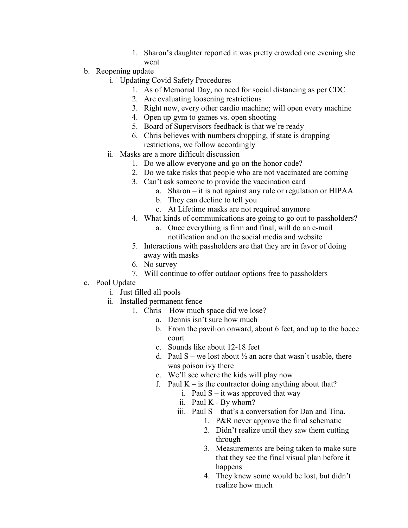- 1. Sharon's daughter reported it was pretty crowded one evening she went
- b. Reopening update
	- i. Updating Covid Safety Procedures
		- 1. As of Memorial Day, no need for social distancing as per CDC
		- 2. Are evaluating loosening restrictions
		- 3. Right now, every other cardio machine; will open every machine
		- 4. Open up gym to games vs. open shooting
		- 5. Board of Supervisors feedback is that we're ready
		- 6. Chris believes with numbers dropping, if state is dropping restrictions, we follow accordingly
	- ii. Masks are a more difficult discussion
		- 1. Do we allow everyone and go on the honor code?
		- 2. Do we take risks that people who are not vaccinated are coming
		- 3. Can't ask someone to provide the vaccination card
			- a. Sharon it is not against any rule or regulation or HIPAA
			- b. They can decline to tell you
			- c. At Lifetime masks are not required anymore
		- 4. What kinds of communications are going to go out to passholders?
			- a. Once everything is firm and final, will do an e-mail
			- notification and on the social media and website
		- 5. Interactions with passholders are that they are in favor of doing away with masks
		- 6. No survey
		- 7. Will continue to offer outdoor options free to passholders
- c. Pool Update
	- i. Just filled all pools
	- ii. Installed permanent fence
		- 1. Chris How much space did we lose?
			- a. Dennis isn't sure how much
			- b. From the pavilion onward, about 6 feet, and up to the bocce court
			- c. Sounds like about 12-18 feet
			- d. Paul  $S$  we lost about  $\frac{1}{2}$  an acre that wasn't usable, there was poison ivy there
			- e. We'll see where the kids will play now
			- f. Paul  $K i s$  the contractor doing anything about that?
				- i. Paul  $S it$  was approved that way
				- ii. Paul K By whom?
				- iii. Paul S that's a conversation for Dan and Tina.
					- 1. P&R never approve the final schematic
					- 2. Didn't realize until they saw them cutting through
					- 3. Measurements are being taken to make sure that they see the final visual plan before it happens
					- 4. They knew some would be lost, but didn't realize how much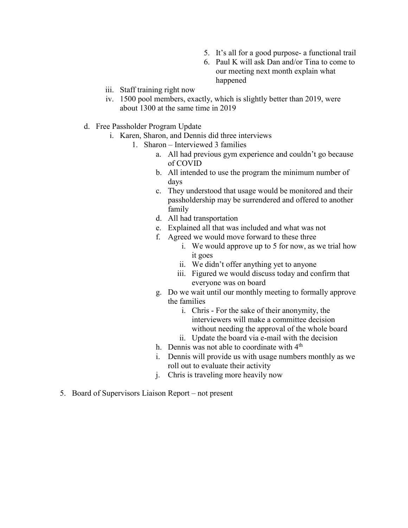- 5. It's all for a good purpose- a functional trail
- 6. Paul K will ask Dan and/or Tina to come to our meeting next month explain what happened
- iii. Staff training right now
- iv. 1500 pool members, exactly, which is slightly better than 2019, were about 1300 at the same time in 2019
- d. Free Passholder Program Update
	- i. Karen, Sharon, and Dennis did three interviews
		- 1. Sharon Interviewed 3 families
			- a. All had previous gym experience and couldn't go because of COVID
			- b. All intended to use the program the minimum number of days
			- c. They understood that usage would be monitored and their passholdership may be surrendered and offered to another family
			- d. All had transportation
			- e. Explained all that was included and what was not
			- f. Agreed we would move forward to these three
				- i. We would approve up to 5 for now, as we trial how it goes
				- ii. We didn't offer anything yet to anyone
				- iii. Figured we would discuss today and confirm that everyone was on board
			- g. Do we wait until our monthly meeting to formally approve the families
				- i. Chris For the sake of their anonymity, the interviewers will make a committee decision without needing the approval of the whole board
				- ii. Update the board via e-mail with the decision
			- h. Dennis was not able to coordinate with 4<sup>th</sup>
			- i. Dennis will provide us with usage numbers monthly as we roll out to evaluate their activity
			- j. Chris is traveling more heavily now
- 5. Board of Supervisors Liaison Report not present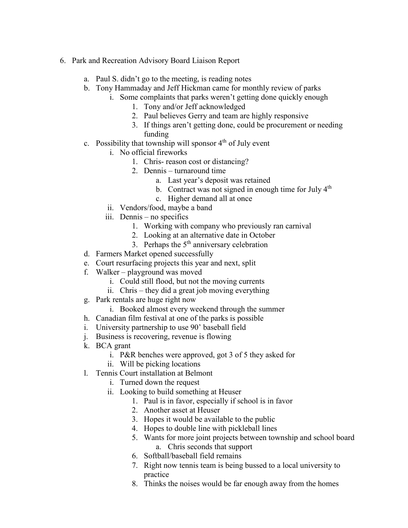- 6. Park and Recreation Advisory Board Liaison Report
	- a. Paul S. didn't go to the meeting, is reading notes
	- b. Tony Hammaday and Jeff Hickman came for monthly review of parks
		- i. Some complaints that parks weren't getting done quickly enough
			- 1. Tony and/or Jeff acknowledged
			- 2. Paul believes Gerry and team are highly responsive
			- 3. If things aren't getting done, could be procurement or needing funding
	- c. Possibility that township will sponsor  $4<sup>th</sup>$  of July event
		- i. No official fireworks
			- 1. Chris- reason cost or distancing?
			- 2. Dennis turnaround time
				- a. Last year's deposit was retained
				- b. Contract was not signed in enough time for July  $4<sup>th</sup>$
				- c. Higher demand all at once
		- ii. Vendors/food, maybe a band
		- iii. Dennis no specifics
			- 1. Working with company who previously ran carnival
			- 2. Looking at an alternative date in October
			- 3. Perhaps the  $5<sup>th</sup>$  anniversary celebration
	- d. Farmers Market opened successfully
	- e. Court resurfacing projects this year and next, split
	- f. Walker playground was moved
		- i. Could still flood, but not the moving currents
		- ii. Chris they did a great job moving everything
	- g. Park rentals are huge right now
		- i. Booked almost every weekend through the summer
	- h. Canadian film festival at one of the parks is possible
	- i. University partnership to use 90' baseball field
	- j. Business is recovering, revenue is flowing
	- k. BCA grant
		- i. P&R benches were approved, got 3 of 5 they asked for
		- ii. Will be picking locations
	- l. Tennis Court installation at Belmont
		- i. Turned down the request
		- ii. Looking to build something at Heuser
			- 1. Paul is in favor, especially if school is in favor
			- 2. Another asset at Heuser
			- 3. Hopes it would be available to the public
			- 4. Hopes to double line with pickleball lines
			- 5. Wants for more joint projects between township and school board
			- a. Chris seconds that support 6. Softball/baseball field remains
			- 7. Right now tennis team is being bussed to a local university to practice
			- 8. Thinks the noises would be far enough away from the homes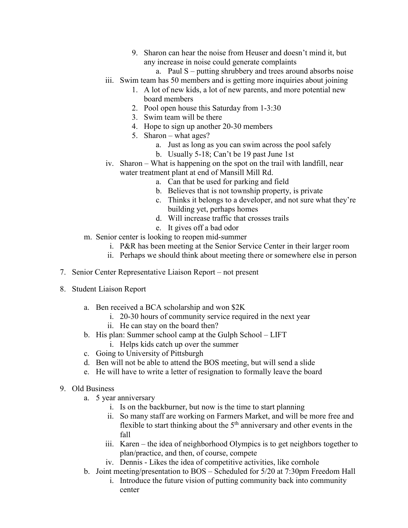- 9. Sharon can hear the noise from Heuser and doesn't mind it, but any increase in noise could generate complaints
	- a. Paul S putting shrubbery and trees around absorbs noise
- iii. Swim team has 50 members and is getting more inquiries about joining
	- 1. A lot of new kids, a lot of new parents, and more potential new board members
	- 2. Pool open house this Saturday from 1-3:30
	- 3. Swim team will be there
	- 4. Hope to sign up another 20-30 members
	- 5. Sharon what ages?
		- a. Just as long as you can swim across the pool safely
		- b. Usually 5-18; Can't be 19 past June 1st
- iv. Sharon What is happening on the spot on the trail with landfill, near water treatment plant at end of Mansill Mill Rd.
	- a. Can that be used for parking and field
	- b. Believes that is not township property, is private
	- c. Thinks it belongs to a developer, and not sure what they're building yet, perhaps homes
	- d. Will increase traffic that crosses trails
	- e. It gives off a bad odor
- m. Senior center is looking to reopen mid-summer
	- i. P&R has been meeting at the Senior Service Center in their larger room
	- ii. Perhaps we should think about meeting there or somewhere else in person
- 7. Senior Center Representative Liaison Report not present
- 8. Student Liaison Report
	- a. Ben received a BCA scholarship and won \$2K
		- i. 20-30 hours of community service required in the next year
		- ii. He can stay on the board then?
	- b. His plan: Summer school camp at the Gulph School LIFT
		- i. Helps kids catch up over the summer
	- c. Going to University of Pittsburgh
	- d. Ben will not be able to attend the BOS meeting, but will send a slide
	- e. He will have to write a letter of resignation to formally leave the board
- 9. Old Business
	- a. 5 year anniversary
		- i. Is on the backburner, but now is the time to start planning
		- ii. So many staff are working on Farmers Market, and will be more free and flexible to start thinking about the  $5<sup>th</sup>$  anniversary and other events in the fall
		- iii. Karen the idea of neighborhood Olympics is to get neighbors together to plan/practice, and then, of course, compete
		- iv. Dennis Likes the idea of competitive activities, like cornhole
	- b. Joint meeting/presentation to BOS Scheduled for 5/20 at 7:30pm Freedom Hall
		- i. Introduce the future vision of putting community back into community center